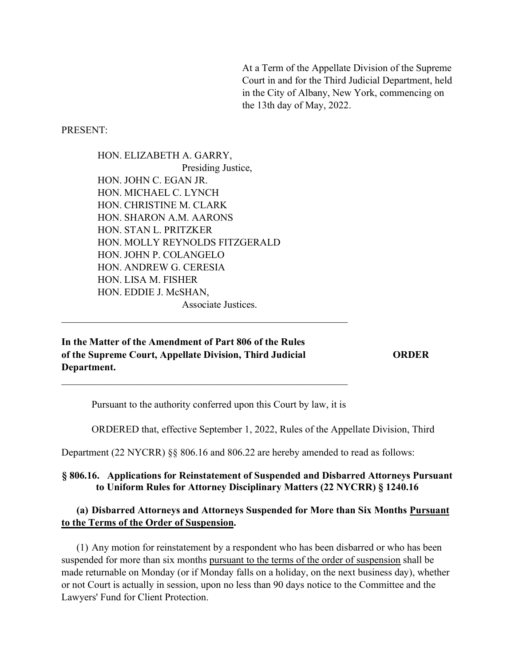At a Term of the Appellate Division of the Supreme Court in and for the Third Judicial Department, held in the City of Albany, New York, commencing on the 13th day of May, 2022.

PRESENT:

HON. ELIZABETH A. GARRY, Presiding Justice, HON. JOHN C. EGAN JR. HON. MICHAEL C. LYNCH HON. CHRISTINE M. CLARK HON. SHARON A.M. AARONS HON. STAN L. PRITZKER HON. MOLLY REYNOLDS FITZGERALD HON. JOHN P. COLANGELO HON. ANDREW G. CERESIA HON. LISA M. FISHER HON. EDDIE J. McSHAN. Associate Justices.

In the Matter of the Amendment of Part 806 of the Rules of the Supreme Court, Appellate Division, Third Judicial Department.

**ORDER** 

Pursuant to the authority conferred upon this Court by law, it is

ORDERED that, effective September 1, 2022, Rules of the Appellate Division, Third

Department (22 NYCRR) §§ 806.16 and 806.22 are hereby amended to read as follows:

#### § 806.16. Applications for Reinstatement of Suspended and Disbarred Attorneys Pursuant to Uniform Rules for Attorney Disciplinary Matters (22 NYCRR) § 1240.16

### (a) Disbarred Attorneys and Attorneys Suspended for More than Six Months Pursuant to the Terms of the Order of Suspension.

(1) Any motion for reinstatement by a respondent who has been disbarred or who has been suspended for more than six months pursuant to the terms of the order of suspension shall be made returnable on Monday (or if Monday falls on a holiday, on the next business day), whether or not Court is actually in session, upon no less than 90 days notice to the Committee and the Lawyers' Fund for Client Protection.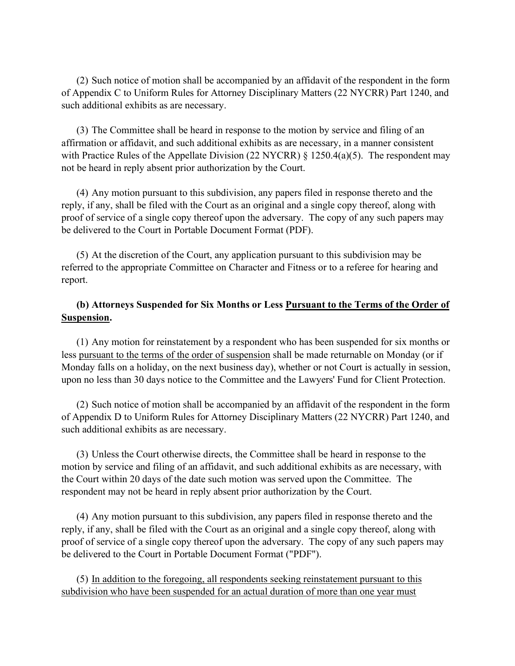(2) Such notice of motion shall be accompanied by an affidavit of the respondent in the form of Appendix C to Uniform Rules for Attorney Disciplinary Matters (22 NYCRR) Part 1240, and such additional exhibits as are necessary.

(3) The Committee shall be heard in response to the motion by service and filing of an affirmation or affidavit, and such additional exhibits as are necessary, in a manner consistent with Practice Rules of the Appellate Division (22 NYCRR) § 1250.4(a)(5). The respondent may not be heard in reply absent prior authorization by the Court.

(4) Any motion pursuant to this subdivision, any papers filed in response thereto and the reply, if any, shall be filed with the Court as an original and a single copy thereof, along with proof of service of a single copy thereof upon the adversary. The copy of any such papers may be delivered to the Court in Portable Document Format (PDF).

(5) At the discretion of the Court, any application pursuant to this subdivision may be referred to the appropriate Committee on Character and Fitness or to a referee for hearing and report.

### (b) Attorneys Suspended for Six Months or Less Pursuant to the Terms of the Order of Suspension.

(1) Any motion for reinstatement by a respondent who has been suspended for six months or less pursuant to the terms of the order of suspension shall be made returnable on Monday (or if Monday falls on a holiday, on the next business day), whether or not Court is actually in session, upon no less than 30 days notice to the Committee and the Lawyers' Fund for Client Protection.

(2) Such notice of motion shall be accompanied by an affidavit of the respondent in the form of Appendix D to Uniform Rules for Attorney Disciplinary Matters (22 NYCRR) Part 1240, and such additional exhibits as are necessary.

(3) Unless the Court otherwise directs, the Committee shall be heard in response to the motion by service and filing of an affidavit, and such additional exhibits as are necessary, with the Court within 20 days of the date such motion was served upon the Committee. The respondent may not be heard in reply absent prior authorization by the Court.

(4) Any motion pursuant to this subdivision, any papers filed in response thereto and the reply, if any, shall be filed with the Court as an original and a single copy thereof, along with proof of service of a single copy thereof upon the adversary. The copy of any such papers may be delivered to the Court in Portable Document Format ("PDF").

(5) In addition to the foregoing, all respondents seeking reinstatement pursuant to this subdivision who have been suspended for an actual duration of more than one year must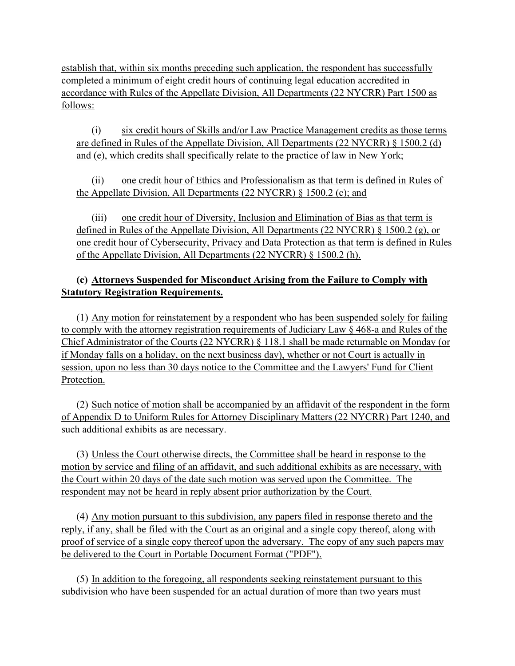establish that, within six months preceding such application, the respondent has successfully completed a minimum of eight credit hours of continuing legal education accredited in accordance with Rules of the Appellate Division, All Departments (22 NYCRR) Part 1500 as follows:

 $(i)$  six credit hours of Skills and/or Law Practice Management credits as those terms are defined in Rules of the Appellate Division, All Departments (22 NYCRR)  $\S$  1500.2 (d) and (e), which credits shall specifically relate to the practice of law in New York;

(ii) one credit hour of Ethics and Professionalism as that term is defined in Rules of the Appellate Division, All Departments (22 NYCRR)  $\S$  1500.2 (c); and

(iii) one credit hour of Diversity, Inclusion and Elimination of Bias as that term is defined in Rules of the Appellate Division, All Departments (22 NYCRR)  $\S$  1500.2 (g), or one credit hour of Cybersecurity, Privacy and Data Protection as that term is defined in Rules of the Appellate Division, All Departments (22 NYCRR) § 1500.2(h).

### (c) Attorneys Suspended for Misconduct Arising from the Failure to Comply with **Statutory Registration Requirements.**

 $(1)$  Any motion for reinstatement by a respondent who has been suspended solely for failing to comply with the attorney registration requirements of Judiciary Law  $\S 468$ -a and Rules of the Chief Administrator of the Courts (22 NYCRR) § 118.1 shall be made returnable on Monday (or if Monday falls on a holiday, on the next business day), whether or not Court is actually in session, upon no less than 30 days notice to the Committee and the Lawyers' Fund for Client Protection.

(2) Such notice of motion shall be accompanied by an affidavit of the respondent in the form of Appendix D to Uniform Rules for Attorney Disciplinary Matters (22 NYCRR) Part 1240, and such additional exhibits as are necessary.

(3) Unless the Court otherwise directs, the Committee shall be heard in response to the motion by service and filing of an affidavit, and such additional exhibits as are necessary, with the Court within 20 days of the date such motion was served upon the Committee. The respondent may not be heard in reply absent prior authorization by the Court.

(4) Any motion pursuant to this subdivision, any papers filed in response thereto and the reply, if any, shall be filed with the Court as an original and a single copy thereof, along with proof of service of a single copy thereof upon the adversary. The copy of any such papers may be delivered to the Court in Portable Document Format ("PDF").

(5) In addition to the foregoing, all respondents seeking reinstatement pursuant to this subdivision who have been suspended for an actual duration of more than two years must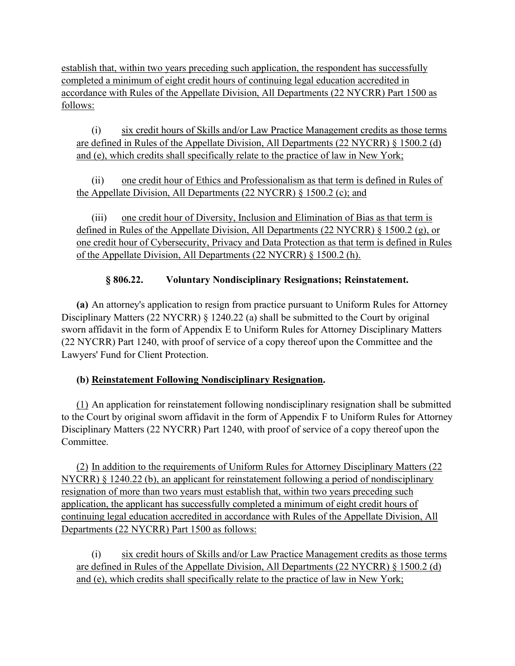establish that, within two years preceding such application, the respondent has successfully completed a minimum of eight credit hours of continuing legal education accredited in accordance with Rules of the Appellate Division, All Departments (22 NYCRR) Part 1500 as follows:

 $(i)$  six credit hours of Skills and/or Law Practice Management credits as those terms are defined in Rules of the Appellate Division, All Departments (22 NYCRR) § 1500.2 (d) and (e), which credits shall specifically relate to the practice of law in New York;

(ii) one credit hour of Ethics and Professionalism as that term is defined in Rules of the Appellate Division, All Departments (22 NYCRR) § 1500.2 (c); and

(iii) one credit hour of Diversity, Inclusion and Elimination of Bias as that term is defined in Rules of the Appellate Division, All Departments (22 NYCRR)  $\S$  1500.2 (g), or one credit hour of Cybersecurity, Privacy and Data Protection as that term is defined in Rules of the Appellate Division, All Departments (22 NYCRR) § 1500.2(h).

## §806.22. Voluntary Nondisciplinary Resignations; Reinstatement.

(a) An attorney's application to resign from practice pursuant to Uniform Rules for Attorney Disciplinary Matters (22 NYCRR) § 1240.22 (a) shall be submitted to the Court by original sworn affidavit in the form of Appendix E to Uniform Rules for Attorney Disciplinary Matters (22 NYCRR) Part 1240, with proof of service of a copy thereof upon the Committee and the Lawyers' Fund for Client Protection.

# (b) Reinstatement Following Nondisciplinary Resignation.

 $(1)$  An application for reinstatement following nondisciplinary resignation shall be submitted to the Court by original sworn affidavit in the form of Appendix F to Uniform Rules for Attorney Disciplinary Matters (22 NYCRR) Part 1240, with proof of service of a copy thereof upon the Committee.

(2) In addition to the requirements of Uniform Rules for Attorney Disciplinary Matters (22) NYCRR)  $\S$  1240.22 (b), an applicant for reinstatement following a period of nondisciplinary resignation of more than two years must establish that, within two years preceding such application, the applicant has successfully completed a minimum of eight credit hours of continuing legal education accredited in accordance with Rules of the Appellate Division, All Departments (22 NYCRR) Part 1500 as follows:

(i) six credit hours of Skills and/or Law Practice Management credits as those terms are defined in Rules of the Appellate Division, All Departments (22 NYCRR)  $\S$  1500.2 (d) and (e), which credits shall specifically relate to the practice of law in New York;